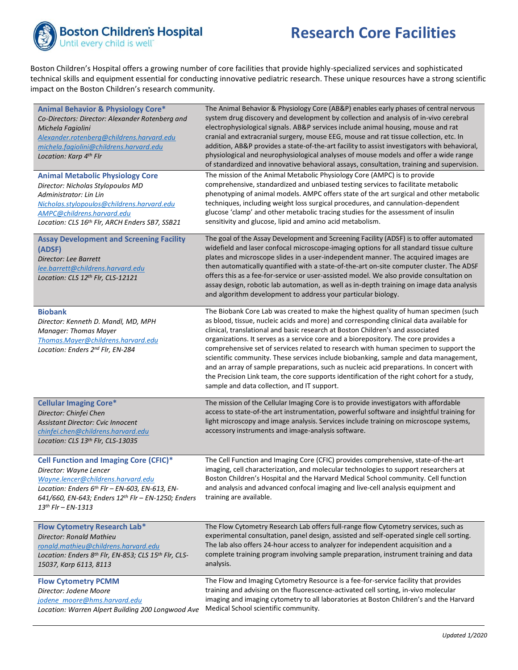

## **Research Core Facilities**

Boston Children's Hospital offers a growing number of core facilities that provide highly-specialized services and sophisticated technical skills and equipment essential for conducting innovative pediatric research. These unique resources have a strong scientific impact on the Boston Children's research community.

| <b>Animal Behavior &amp; Physiology Core*</b><br>Co-Directors: Director: Alexander Rotenberg and<br>Michela Fagiolini<br>Alexander.rotenberg@childrens.harvard.edu<br>michela.fagiolini@childrens.harvard.edu<br>Location: Karp 4th Flr                   | The Animal Behavior & Physiology Core (AB&P) enables early phases of central nervous<br>system drug discovery and development by collection and analysis of in-vivo cerebral<br>electrophysiological signals. AB&P services include animal housing, mouse and rat<br>cranial and extracranial surgery, mouse EEG, mouse and rat tissue collection, etc. In<br>addition, AB&P provides a state-of-the-art facility to assist investigators with behavioral,<br>physiological and neurophysiological analyses of mouse models and offer a wide range<br>of standardized and innovative behavioral assays, consultation, training and supervision.                                                                                                                                  |
|-----------------------------------------------------------------------------------------------------------------------------------------------------------------------------------------------------------------------------------------------------------|----------------------------------------------------------------------------------------------------------------------------------------------------------------------------------------------------------------------------------------------------------------------------------------------------------------------------------------------------------------------------------------------------------------------------------------------------------------------------------------------------------------------------------------------------------------------------------------------------------------------------------------------------------------------------------------------------------------------------------------------------------------------------------|
| <b>Animal Metabolic Physiology Core</b><br>Director: Nicholas Stylopoulos MD<br>Administrator: Lin Lin<br>Nicholas.stylopoulos@childrens.harvard.edu<br>AMPC@childrens.harvard.edu<br>Location: CLS 16th Flr, ARCH Enders SB7, SSB21                      | The mission of the Animal Metabolic Physiology Core (AMPC) is to provide<br>comprehensive, standardized and unbiased testing services to facilitate metabolic<br>phenotyping of animal models. AMPC offers state of the art surgical and other metabolic<br>techniques, including weight loss surgical procedures, and cannulation-dependent<br>glucose 'clamp' and other metabolic tracing studies for the assessment of insulin<br>sensitivity and glucose, lipid and amino acid metabolism.                                                                                                                                                                                                                                                                                   |
| <b>Assay Development and Screening Facility</b><br>(ADSF)<br>Director: Lee Barrett<br>lee.barrett@childrens.harvard.edu<br>Location: CLS 12th Flr, CLS-12121                                                                                              | The goal of the Assay Development and Screening Facility (ADSF) is to offer automated<br>widefield and laser confocal microscope-imaging options for all standard tissue culture<br>plates and microscope slides in a user-independent manner. The acquired images are<br>then automatically quantified with a state-of-the-art on-site computer cluster. The ADSF<br>offers this as a fee-for-service or user-assisted model. We also provide consultation on<br>assay design, robotic lab automation, as well as in-depth training on image data analysis<br>and algorithm development to address your particular biology.                                                                                                                                                     |
| <b>Biobank</b><br>Director: Kenneth D. Mandl, MD, MPH<br>Manager: Thomas Mayer<br>Thomas.Mayer@childrens.harvard.edu<br>Location: Enders 2nd Flr, EN-284                                                                                                  | The Biobank Core Lab was created to make the highest quality of human specimen (such<br>as blood, tissue, nucleic acids and more) and corresponding clinical data available for<br>clinical, translational and basic research at Boston Children's and associated<br>organizations. It serves as a service core and a biorepository. The core provides a<br>comprehensive set of services related to research with human specimen to support the<br>scientific community. These services include biobanking, sample and data management,<br>and an array of sample preparations, such as nucleic acid preparations. In concert with<br>the Precision Link team, the core supports identification of the right cohort for a study,<br>sample and data collection, and IT support. |
| <b>Cellular Imaging Core*</b><br>Director: Chinfei Chen<br>Assistant Director: Cvic Innocent<br>chinfei.chen@childrens.harvard.edu<br>Location: CLS 13th Flr, CLS-13035                                                                                   | The mission of the Cellular Imaging Core is to provide investigators with affordable<br>access to state-of-the art instrumentation, powerful software and insightful training for<br>light microscopy and image analysis. Services include training on microscope systems,<br>accessory instruments and image-analysis software.                                                                                                                                                                                                                                                                                                                                                                                                                                                 |
| <b>Cell Function and Imaging Core (CFIC)*</b><br>Director: Wayne Lencer<br>Wayne.lencer@childrens.harvard.edu<br>Location: Enders 6th Flr - EN-603, EN-613, EN-<br>641/660, EN-643; Enders 12th Flr - EN-1250; Enders<br>$13$ <sup>th</sup> Flr – EN-1313 | The Cell Function and Imaging Core (CFIC) provides comprehensive, state-of-the-art<br>imaging, cell characterization, and molecular technologies to support researchers at<br>Boston Children's Hospital and the Harvard Medical School community. Cell function<br>and analysis and advanced confocal imaging and live-cell analysis equipment and<br>training are available.                                                                                                                                                                                                                                                                                                                                                                                                   |
| <b>Flow Cytometry Research Lab*</b><br>Director: Ronald Mathieu<br>ronald.mathieu@childrens.harvard.edu<br>Location: Enders 8th Flr, EN-853; CLS 15th Flr, CLS-<br>15037, Karp 6113, 8113                                                                 | The Flow Cytometry Research Lab offers full-range flow Cytometry services, such as<br>experimental consultation, panel design, assisted and self-operated single cell sorting.<br>The lab also offers 24-hour access to analyzer for independent acquisition and a<br>complete training program involving sample preparation, instrument training and data<br>analysis.                                                                                                                                                                                                                                                                                                                                                                                                          |
| <b>Flow Cytometry PCMM</b><br>Director: Jodene Moore<br>jodene moore@hms.harvard.edu<br>Location: Warren Alpert Building 200 Longwood Ave                                                                                                                 | The Flow and Imaging Cytometry Resource is a fee-for-service facility that provides<br>training and advising on the fluorescence-activated cell sorting, in-vivo molecular<br>imaging and imaging cytometry to all laboratories at Boston Children's and the Harvard<br>Medical School scientific community.                                                                                                                                                                                                                                                                                                                                                                                                                                                                     |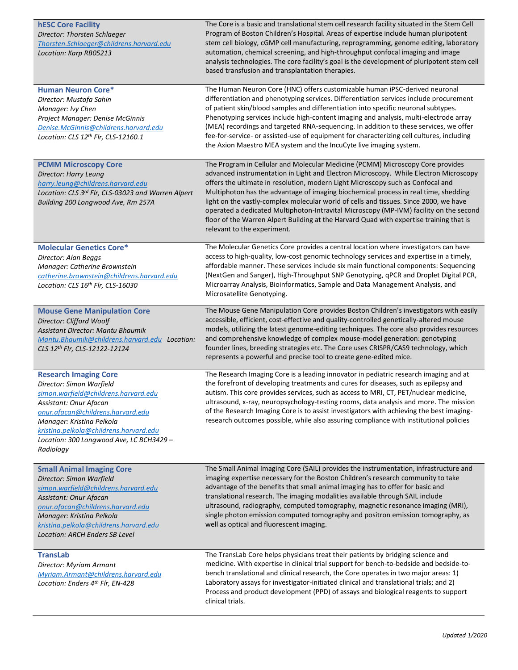| <b>hESC Core Facility</b><br>Director: Thorsten Schlaeger<br>Thorsten.Schlaeger@childrens.harvard.edu<br>Location: Karp RB05213                                                                                                                                                                 | The Core is a basic and translational stem cell research facility situated in the Stem Cell<br>Program of Boston Children's Hospital. Areas of expertise include human pluripotent<br>stem cell biology, cGMP cell manufacturing, reprogramming, genome editing, laboratory<br>automation, chemical screening, and high-throughput confocal imaging and image<br>analysis technologies. The core facility's goal is the development of pluripotent stem cell<br>based transfusion and transplantation therapies.                                                                                                                                              |
|-------------------------------------------------------------------------------------------------------------------------------------------------------------------------------------------------------------------------------------------------------------------------------------------------|---------------------------------------------------------------------------------------------------------------------------------------------------------------------------------------------------------------------------------------------------------------------------------------------------------------------------------------------------------------------------------------------------------------------------------------------------------------------------------------------------------------------------------------------------------------------------------------------------------------------------------------------------------------|
| <b>Human Neuron Core*</b><br>Director: Mustafa Sahin<br>Manager: Ivy Chen<br>Project Manager: Denise McGinnis<br>Denise.McGinnis@childrens.harvard.edu<br>Location: CLS 12th Flr, CLS-12160.1                                                                                                   | The Human Neuron Core (HNC) offers customizable human iPSC-derived neuronal<br>differentiation and phenotyping services. Differentiation services include procurement<br>of patient skin/blood samples and differentiation into specific neuronal subtypes.<br>Phenotyping services include high-content imaging and analysis, multi-electrode array<br>(MEA) recordings and targeted RNA-sequencing. In addition to these services, we offer<br>fee-for-service- or assisted-use of equipment for characterizing cell cultures, including<br>the Axion Maestro MEA system and the IncuCyte live imaging system.                                              |
| <b>PCMM Microscopy Core</b><br>Director: Harry Leung<br>harry.leung@childrens.harvard.edu<br>Location: CLS 3rd Flr, CLS-03023 and Warren Alpert<br>Building 200 Longwood Ave, Rm 257A                                                                                                           | The Program in Cellular and Molecular Medicine (PCMM) Microscopy Core provides<br>advanced instrumentation in Light and Electron Microscopy. While Electron Microscopy<br>offers the ultimate in resolution, modern Light Microscopy such as Confocal and<br>Multiphoton has the advantage of imaging biochemical process in real time, shedding<br>light on the vastly-complex molecular world of cells and tissues. Since 2000, we have<br>operated a dedicated Multiphoton-Intravital Microscopy (MP-IVM) facility on the second<br>floor of the Warren Alpert Building at the Harvard Quad with expertise training that is<br>relevant to the experiment. |
| <b>Molecular Genetics Core*</b><br>Director: Alan Beggs<br>Manager: Catherine Brownstein<br>catherine.brownstein@childrens.harvard.edu<br>Location: CLS 16th Flr, CLS-16030                                                                                                                     | The Molecular Genetics Core provides a central location where investigators can have<br>access to high-quality, low-cost genomic technology services and expertise in a timely,<br>affordable manner. These services include six main functional components: Sequencing<br>(NextGen and Sanger), High-Throughput SNP Genotyping, qPCR and Droplet Digital PCR,<br>Microarray Analysis, Bioinformatics, Sample and Data Management Analysis, and<br>Microsatellite Genotyping.                                                                                                                                                                                 |
| <b>Mouse Gene Manipulation Core</b><br>Director: Clifford Woolf<br>Assistant Director: Mantu Bhaumik<br>Mantu.Bhaumik@childrens.harvard.edu Location:<br>CLS 12th Flr, CLS-12122-12124                                                                                                          | The Mouse Gene Manipulation Core provides Boston Children's investigators with easily<br>accessible, efficient, cost-effective and quality-controlled genetically-altered mouse<br>models, utilizing the latest genome-editing techniques. The core also provides resources<br>and comprehensive knowledge of complex mouse-model generation: genotyping<br>founder lines, breeding strategies etc. The Core uses CRISPR/CAS9 technology, which<br>represents a powerful and precise tool to create gene-edited mice.                                                                                                                                         |
| <b>Research Imaging Core</b><br>Director: Simon Warfield<br>simon.warfield@childrens.harvard.edu<br>Assistant: Onur Afacan<br>onur.afacan@childrens.harvard.edu<br>Manager: Kristina Pelkola<br>kristina.pelkola@childrens.harvard.edu<br>Location: 300 Longwood Ave, LC BCH3429 -<br>Radiology | The Research Imaging Core is a leading innovator in pediatric research imaging and at<br>the forefront of developing treatments and cures for diseases, such as epilepsy and<br>autism. This core provides services, such as access to MRI, CT, PET/nuclear medicine,<br>ultrasound, x-ray, neuropsychology-testing rooms, data analysis and more. The mission<br>of the Research Imaging Core is to assist investigators with achieving the best imaging-<br>research outcomes possible, while also assuring compliance with institutional policies                                                                                                          |
| <b>Small Animal Imaging Core</b><br>Director: Simon Warfield<br>simon.warfield@childrens.harvard.edu<br>Assistant: Onur Afacan<br>onur.afacan@childrens.harvard.edu<br>Manager: Kristina Pelkola<br>kristina.pelkola@childrens.harvard.edu<br>Location: ARCH Enders SB Level                    | The Small Animal Imaging Core (SAIL) provides the instrumentation, infrastructure and<br>imaging expertise necessary for the Boston Children's research community to take<br>advantage of the benefits that small animal imaging has to offer for basic and<br>translational research. The imaging modalities available through SAIL include<br>ultrasound, radiography, computed tomography, magnetic resonance imaging (MRI),<br>single photon emission computed tomography and positron emission tomography, as<br>well as optical and fluorescent imaging.                                                                                                |
| <b>TransLab</b><br>Director: Myriam Armant<br>Myriam.Armant@childrens.harvard.edu<br>Location: Enders 4th Flr, EN-428                                                                                                                                                                           | The TransLab Core helps physicians treat their patients by bridging science and<br>medicine. With expertise in clinical trial support for bench-to-bedside and bedside-to-<br>bench translational and clinical research, the Core operates in two major areas: 1)<br>Laboratory assays for investigator-initiated clinical and translational trials; and 2)<br>Process and product development (PPD) of assays and biological reagents to support<br>clinical trials.                                                                                                                                                                                         |